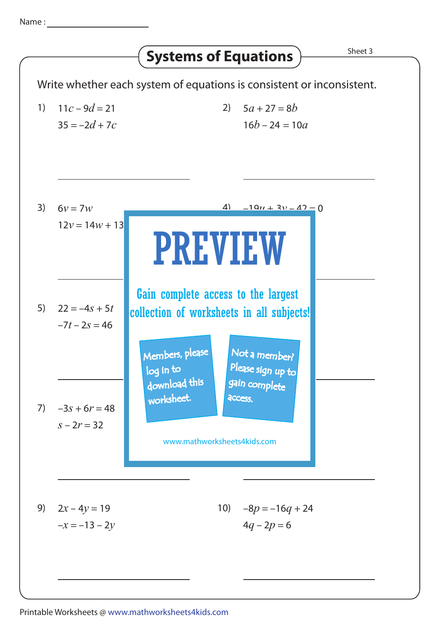